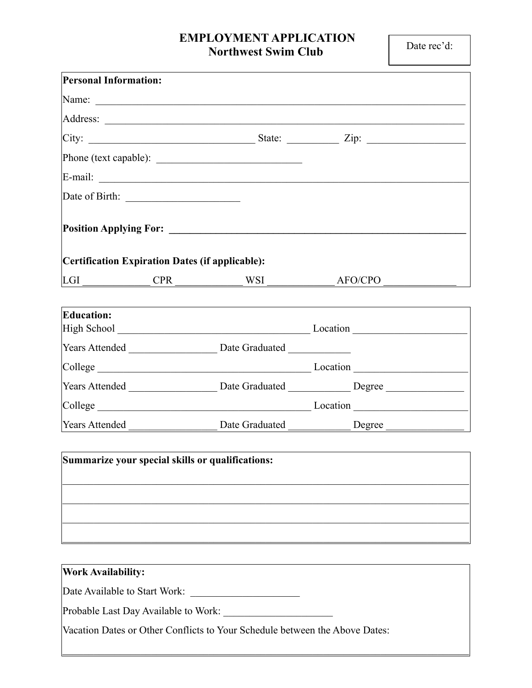## **EMPLOYMENT APPLICATION Northwest Swim Club**

| <b>Personal Information:</b>                    |                                                                                                                                                                                                                               |                                                                                                     |  |
|-------------------------------------------------|-------------------------------------------------------------------------------------------------------------------------------------------------------------------------------------------------------------------------------|-----------------------------------------------------------------------------------------------------|--|
|                                                 | Name: Name: Name: Name: Name: Name: Name: Name: Name: Name: Name: Name: Name: Name: Name: Name: Name: Name: Name: Name: Name: Name: Name: Name: Name: Name: Name: Name: Name: Name: Name: Name: Name: Name: Name: Name: Name: |                                                                                                     |  |
|                                                 |                                                                                                                                                                                                                               |                                                                                                     |  |
|                                                 |                                                                                                                                                                                                                               | $\boxed{\text{City: } \_\_\_\_\_\_\_}$                                                              |  |
|                                                 |                                                                                                                                                                                                                               |                                                                                                     |  |
|                                                 |                                                                                                                                                                                                                               |                                                                                                     |  |
|                                                 |                                                                                                                                                                                                                               |                                                                                                     |  |
|                                                 |                                                                                                                                                                                                                               |                                                                                                     |  |
| Certification Expiration Dates (if applicable): |                                                                                                                                                                                                                               |                                                                                                     |  |
|                                                 |                                                                                                                                                                                                                               | $LGI$ $CPR$ $WSI$ $AFO/CPO$                                                                         |  |
| <b>Education:</b>                               |                                                                                                                                                                                                                               |                                                                                                     |  |
|                                                 |                                                                                                                                                                                                                               |                                                                                                     |  |
|                                                 |                                                                                                                                                                                                                               | College Location Location Location                                                                  |  |
|                                                 |                                                                                                                                                                                                                               | Years Attended __________________________Date Graduated ________________Degree ____________________ |  |
|                                                 |                                                                                                                                                                                                                               |                                                                                                     |  |
|                                                 |                                                                                                                                                                                                                               |                                                                                                     |  |
|                                                 | Summarize your special skills or qualifications:                                                                                                                                                                              |                                                                                                     |  |
|                                                 |                                                                                                                                                                                                                               |                                                                                                     |  |
|                                                 |                                                                                                                                                                                                                               |                                                                                                     |  |
| <b>Work Availability:</b>                       |                                                                                                                                                                                                                               |                                                                                                     |  |
| Date Available to Start Work:                   |                                                                                                                                                                                                                               |                                                                                                     |  |
| Probable Last Day Available to Work:            |                                                                                                                                                                                                                               |                                                                                                     |  |

Vacation Dates or Other Conflicts to Your Schedule between the Above Dates:

 $\mathcal{L}_\mathcal{L} = \{ \mathcal{L}_\mathcal{L} = \{ \mathcal{L}_\mathcal{L} = \{ \mathcal{L}_\mathcal{L} = \{ \mathcal{L}_\mathcal{L} = \{ \mathcal{L}_\mathcal{L} = \{ \mathcal{L}_\mathcal{L} = \{ \mathcal{L}_\mathcal{L} = \{ \mathcal{L}_\mathcal{L} = \{ \mathcal{L}_\mathcal{L} = \{ \mathcal{L}_\mathcal{L} = \{ \mathcal{L}_\mathcal{L} = \{ \mathcal{L}_\mathcal{L} = \{ \mathcal{L}_\mathcal{L} = \{ \mathcal{L}_\mathcal{$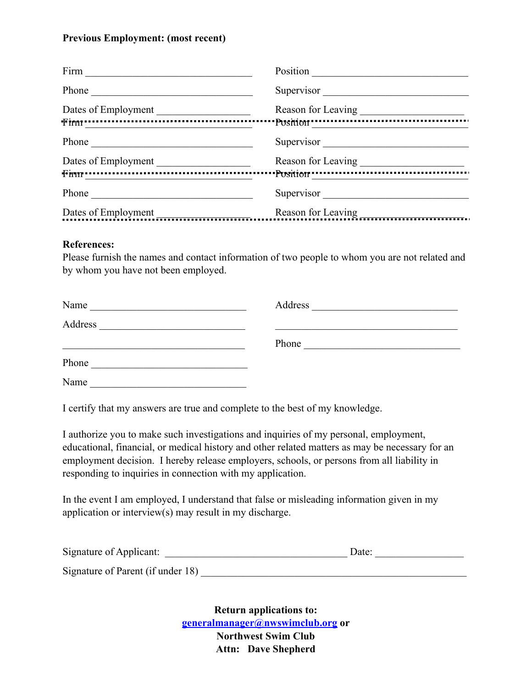## **Previous Employment: (most recent)**

| Position                                                                             |  |
|--------------------------------------------------------------------------------------|--|
| Supervisor<br>Phone<br><u> 1980 - Andrea Station, Amerikaansk politik (</u>          |  |
| Reason for Leaving<br>Dates of Employment                                            |  |
|                                                                                      |  |
| Supervisor                                                                           |  |
| Dates of Employment                                                                  |  |
|                                                                                      |  |
| Supervisor<br>Phone<br><u> 1989 - Johann Stein, mars an deutscher Stein († 1958)</u> |  |
| Reason for Leaving<br>Dates of Employment                                            |  |

## **References:**

Please furnish the names and contact information of two people to whom you are not related and by whom you have not been employed.

| Name                                                                                                                            | Address<br><u> 1980 - Jan Barbara, martin a shekara 1980 - An tsa a tsa a tsa a tsa a tsa a tsa a tsa a tsa a tsa a tsa a tsa</u> |  |
|---------------------------------------------------------------------------------------------------------------------------------|-----------------------------------------------------------------------------------------------------------------------------------|--|
| Address<br><u> 1980 - Johann Barn, mars eta bainar eta bainar eta baina eta baina eta baina eta baina eta baina eta baina e</u> |                                                                                                                                   |  |
|                                                                                                                                 | Phone                                                                                                                             |  |
| Phone                                                                                                                           |                                                                                                                                   |  |
| Name                                                                                                                            |                                                                                                                                   |  |

I certify that my answers are true and complete to the best of my knowledge.

I authorize you to make such investigations and inquiries of my personal, employment, educational, financial, or medical history and other related matters as may be necessary for an employment decision. I hereby release employers, schools, or persons from all liability in responding to inquiries in connection with my application.

In the event I am employed, I understand that false or misleading information given in my application or interview(s) may result in my discharge.

| Signature of Applicant:           | Date: |
|-----------------------------------|-------|
| Signature of Parent (if under 18) |       |

**Return applications to: [generalmanager@nwswimclub.org](mailto:generalmanager@nwswimclub.org) or Northwest Swim Club Attn: Dave Shepherd**